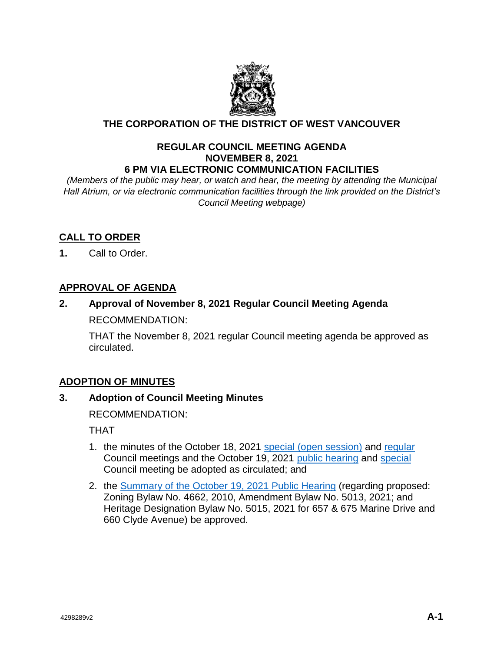

# **THE CORPORATION OF THE DISTRICT OF WEST VANCOUVER**

## **REGULAR COUNCIL MEETING AGENDA NOVEMBER 8, 2021 6 PM VIA ELECTRONIC COMMUNICATION FACILITIES**

*(Members of the public may hear, or watch and hear, the meeting by attending the Municipal Hall Atrium, or via electronic communication facilities through the link provided on the District's Council Meeting webpage)*

# **CALL TO ORDER**

**1.** Call to Order.

# **APPROVAL OF AGENDA**

**2. Approval of November 8, 2021 Regular Council Meeting Agenda** RECOMMENDATION:

THAT the November 8, 2021 regular Council meeting agenda be approved as circulated.

# **ADOPTION OF MINUTES**

# **3. Adoption of Council Meeting Minutes**

RECOMMENDATION:

THAT

- 1. the minutes of the October 18, 2021 [special \(open session\)](https://westvancouver.ca/sites/default/files/dwv/council-agendas/2021/nov/08/21nov08-3a.pdf) and [regular](https://westvancouver.ca/sites/default/files/dwv/council-agendas/2021/nov/08/21nov08-3b.pdf) Council meetings and the October 19, 2021 [public hearing](https://westvancouver.ca/sites/default/files/dwv/council-agendas/2021/nov/08/21nov08-3c.pdf) and [special](https://westvancouver.ca/sites/default/files/dwv/council-agendas/2021/nov/08/21nov08-3d.pdf) Council meeting be adopted as circulated; and
- 2. the [Summary of the October 19, 2021 Public](https://westvancouver.ca/sites/default/files/dwv/council-agendas/2021/nov/08/21nov08-3e.pdf) Hearing (regarding proposed: Zoning Bylaw No. 4662, 2010, Amendment Bylaw No. 5013, 2021; and Heritage Designation Bylaw No. 5015, 2021 for 657 & 675 Marine Drive and 660 Clyde Avenue) be approved.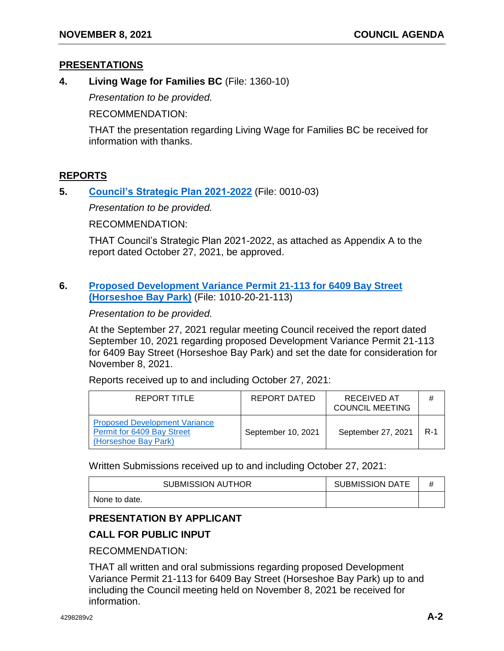## **PRESENTATIONS**

**4. Living Wage for Families BC** (File: 1360-10)

*Presentation to be provided.*

RECOMMENDATION:

THAT the presentation regarding Living Wage for Families BC be received for information with thanks.

# **REPORTS**

**5. [Council's Strategic Plan 2021-2022](https://westvancouver.ca/sites/default/files/dwv/council-agendas/2021/nov/08/21nov08-5.pdf)** (File: 0010-03)

*Presentation to be provided.*

RECOMMENDATION:

THAT Council's Strategic Plan 2021-2022, as attached as Appendix A to the report dated October 27, 2021, be approved.

## **6. [Proposed Development Variance Permit 21-113 for 6409 Bay Street](https://westvancouver.ca/sites/default/files/dwv/council-agendas/2021/nov/08/21nov08-6-R1.pdf)  [\(Horseshoe Bay](https://westvancouver.ca/sites/default/files/dwv/council-agendas/2021/nov/08/21nov08-6-R1.pdf) Park)** (File: 1010-20-21-113)

*Presentation to be provided.*

At the September 27, 2021 regular meeting Council received the report dated September 10, 2021 regarding proposed Development Variance Permit 21-113 for 6409 Bay Street (Horseshoe Bay Park) and set the date for consideration for November 8, 2021.

Reports received up to and including October 27, 2021:

| REPORT TITLE                                                                               | REPORT DATED       | RECEIVED AT<br><b>COUNCIL MEETING</b> | #     |
|--------------------------------------------------------------------------------------------|--------------------|---------------------------------------|-------|
| <b>Proposed Development Variance</b><br>Permit for 6409 Bay Street<br>(Horseshoe Bay Park) | September 10, 2021 | September 27, 2021                    | $R-1$ |

Written Submissions received up to and including October 27, 2021:

| <b>SUBMISSION AUTHOR</b> | <b>SUBMISSION DATE</b> |  |
|--------------------------|------------------------|--|
| None to date.            |                        |  |

# **PRESENTATION BY APPLICANT**

# **CALL FOR PUBLIC INPUT**

RECOMMENDATION:

THAT all written and oral submissions regarding proposed Development Variance Permit 21-113 for 6409 Bay Street (Horseshoe Bay Park) up to and including the Council meeting held on November 8, 2021 be received for information.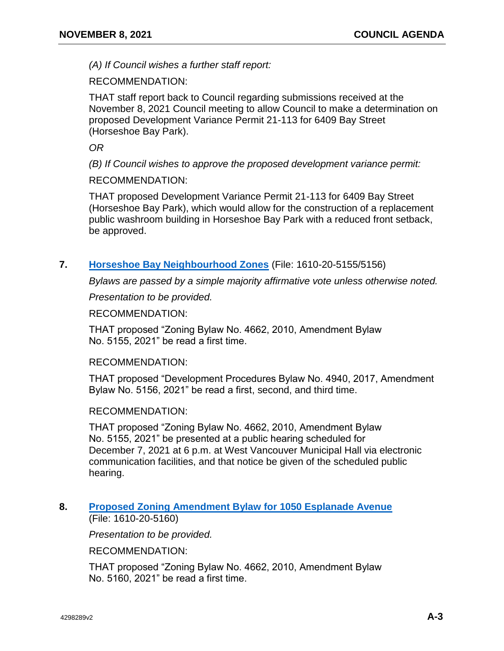*(A) If Council wishes a further staff report:*

RECOMMENDATION:

THAT staff report back to Council regarding submissions received at the November 8, 2021 Council meeting to allow Council to make a determination on proposed Development Variance Permit 21-113 for 6409 Bay Street (Horseshoe Bay Park).

*OR*

*(B) If Council wishes to approve the proposed development variance permit:*

RECOMMENDATION:

THAT proposed Development Variance Permit 21-113 for 6409 Bay Street (Horseshoe Bay Park), which would allow for the construction of a replacement public washroom building in Horseshoe Bay Park with a reduced front setback, be approved.

## **7. [Horseshoe Bay Neighbourhood Zones](https://westvancouver.ca/sites/default/files/dwv/council-agendas/2021/nov/08/21nov08-7.pdf)** (File: 1610-20-5155/5156)

*Bylaws are passed by a simple majority affirmative vote unless otherwise noted.*

*Presentation to be provided.*

RECOMMENDATION:

THAT proposed "Zoning Bylaw No. 4662, 2010, Amendment Bylaw No. 5155, 2021" be read a first time.

## RECOMMENDATION:

THAT proposed "Development Procedures Bylaw No. 4940, 2017, Amendment Bylaw No. 5156, 2021" be read a first, second, and third time.

## RECOMMENDATION:

THAT proposed "Zoning Bylaw No. 4662, 2010, Amendment Bylaw No. 5155, 2021" be presented at a public hearing scheduled for December 7, 2021 at 6 p.m. at West Vancouver Municipal Hall via electronic communication facilities, and that notice be given of the scheduled public hearing.

## **8. [Proposed Zoning Amendment Bylaw for 1050 Esplanade Avenue](https://westvancouver.ca/sites/default/files/dwv/council-agendas/2021/nov/08/21nov08-8.pdf)** (File: 1610-20-5160)

*Presentation to be provided.*

RECOMMENDATION:

THAT proposed "Zoning Bylaw No. 4662, 2010, Amendment Bylaw No. 5160, 2021" be read a first time.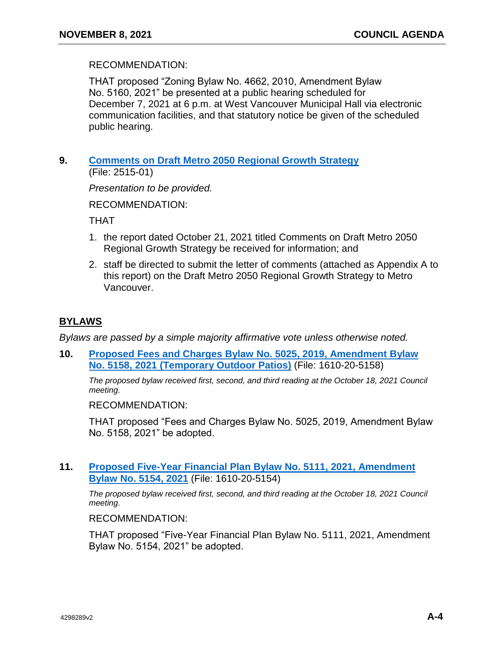## RECOMMENDATION:

THAT proposed "Zoning Bylaw No. 4662, 2010, Amendment Bylaw No. 5160, 2021" be presented at a public hearing scheduled for December 7, 2021 at 6 p.m. at West Vancouver Municipal Hall via electronic communication facilities, and that statutory notice be given of the scheduled public hearing.

## **9. [Comments on Draft Metro 2050 Regional Growth Strategy](https://westvancouver.ca/sites/default/files/dwv/council-agendas/2021/nov/08/21nov08-9.pdf)** (File: 2515-01)

*Presentation to be provided.*

RECOMMENDATION:

THAT

- 1. the report dated October 21, 2021 titled Comments on Draft Metro 2050 Regional Growth Strategy be received for information; and
- 2. staff be directed to submit the letter of comments (attached as Appendix A to this report) on the Draft Metro 2050 Regional Growth Strategy to Metro Vancouver.

# **BYLAWS**

*Bylaws are passed by a simple majority affirmative vote unless otherwise noted.* 

**10. [Proposed Fees and Charges Bylaw No. 5025, 2019, Amendment Bylaw](https://westvancouver.ca/sites/default/files/dwv/council-agendas/2021/nov/08/21nov08-10.pdf) No. 5158, 2021 [\(Temporary Outdoor Patios\)](https://westvancouver.ca/sites/default/files/dwv/council-agendas/2021/nov/08/21nov08-10.pdf)** (File: 1610-20-5158)

*The proposed bylaw received first, second, and third reading at the October 18, 2021 Council meeting.*

RECOMMENDATION:

THAT proposed "Fees and Charges Bylaw No. 5025, 2019, Amendment Bylaw No. 5158, 2021" be adopted.

## **11. [Proposed Five-Year Financial Plan Bylaw No. 5111, 2021, Amendment](https://westvancouver.ca/sites/default/files/dwv/council-agendas/2021/nov/08/21nov08-11.pdf)  [Bylaw No. 5154, 2021](https://westvancouver.ca/sites/default/files/dwv/council-agendas/2021/nov/08/21nov08-11.pdf)** (File: 1610-20-5154)

*The proposed bylaw received first, second, and third reading at the October 18, 2021 Council meeting.*

RECOMMENDATION:

THAT proposed "Five-Year Financial Plan Bylaw No. 5111, 2021, Amendment Bylaw No. 5154, 2021" be adopted.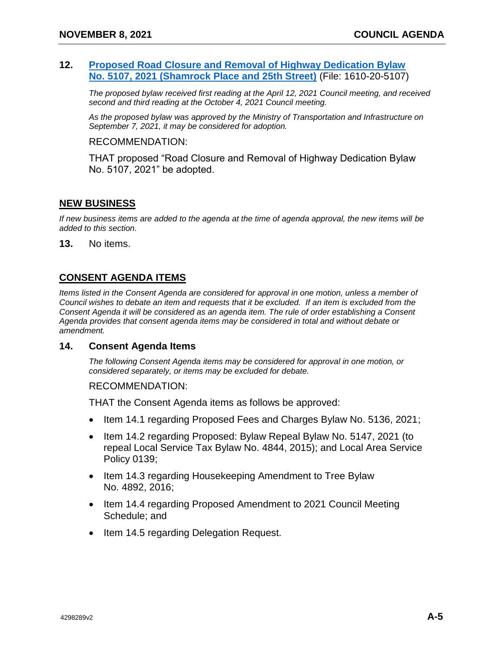## **12. [Proposed Road Closure and Removal of Highway Dedication Bylaw](https://westvancouver.ca/sites/default/files/dwv/council-agendas/2021/nov/08/21nov08-12.pdf)  [No. 5107, 2021 \(Shamrock Place and 25th Street\)](https://westvancouver.ca/sites/default/files/dwv/council-agendas/2021/nov/08/21nov08-12.pdf)** (File: 1610-20-5107)

*The proposed bylaw received first reading at the April 12, 2021 Council meeting, and received second and third reading at the October 4, 2021 Council meeting.*

*As the proposed bylaw was approved by the Ministry of Transportation and Infrastructure on September 7, 2021, it may be considered for adoption.*

#### RECOMMENDATION:

THAT proposed "Road Closure and Removal of Highway Dedication Bylaw No. 5107, 2021" be adopted.

## **NEW BUSINESS**

*If new business items are added to the agenda at the time of agenda approval, the new items will be added to this section.*

**13.** No items.

# **CONSENT AGENDA ITEMS**

*Items listed in the Consent Agenda are considered for approval in one motion, unless a member of Council wishes to debate an item and requests that it be excluded. If an item is excluded from the Consent Agenda it will be considered as an agenda item. The rule of order establishing a Consent Agenda provides that consent agenda items may be considered in total and without debate or amendment.*

#### **14. Consent Agenda Items**

*The following Consent Agenda items may be considered for approval in one motion, or considered separately, or items may be excluded for debate.*

#### RECOMMENDATION:

THAT the Consent Agenda items as follows be approved:

- Item 14.1 regarding Proposed Fees and Charges Bylaw No. 5136, 2021;
- Item 14.2 regarding Proposed: Bylaw Repeal Bylaw No. 5147, 2021 (to repeal Local Service Tax Bylaw No. 4844, 2015); and Local Area Service Policy 0139;
- Item 14.3 regarding Housekeeping Amendment to Tree Bylaw No. 4892, 2016;
- Item 14.4 regarding Proposed Amendment to 2021 Council Meeting Schedule; and
- Item 14.5 regarding Delegation Request.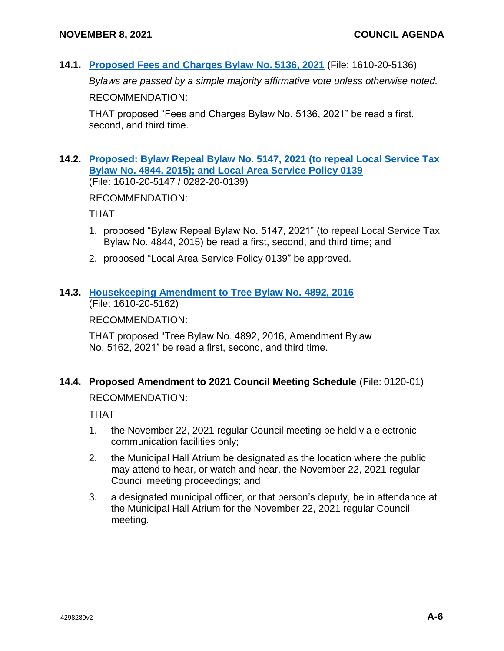**14.1. [Proposed Fees and Charges Bylaw No. 5136, 2021](https://westvancouver.ca/sites/default/files/dwv/council-agendas/2021/nov/08/21nov08-14.1.pdf)** (File: 1610-20-5136)

*Bylaws are passed by a simple majority affirmative vote unless otherwise noted.* 

RECOMMENDATION:

THAT proposed "Fees and Charges Bylaw No. 5136, 2021" be read a first, second, and third time.

## **14.2. [Proposed: Bylaw Repeal Bylaw No. 5147, 2021 \(to repeal Local Service Tax](https://westvancouver.ca/sites/default/files/dwv/council-agendas/2021/nov/08/21nov08-14.2.pdf)  [Bylaw No. 4844, 2015\); and Local Area Service Policy 0139](https://westvancouver.ca/sites/default/files/dwv/council-agendas/2021/nov/08/21nov08-14.2.pdf)** (File: 1610-20-5147 / 0282-20-0139)

RECOMMENDATION:

THAT

- 1. proposed "Bylaw Repeal Bylaw No. 5147, 2021" (to repeal Local Service Tax Bylaw No. 4844, 2015) be read a first, second, and third time; and
- 2. proposed "Local Area Service Policy 0139" be approved.

## **14.3. [Housekeeping Amendment to Tree Bylaw No. 4892, 2016](https://westvancouver.ca/sites/default/files/dwv/council-agendas/2021/nov/08/21nov08-14.3.pdf)** (File: 1610-20-5162)

RECOMMENDATION:

THAT proposed "Tree Bylaw No. 4892, 2016, Amendment Bylaw No. 5162, 2021" be read a first, second, and third time.

# **14.4. Proposed Amendment to 2021 Council Meeting Schedule** (File: 0120-01)

RECOMMENDATION:

THAT

- 1. the November 22, 2021 regular Council meeting be held via electronic communication facilities only;
- 2. the Municipal Hall Atrium be designated as the location where the public may attend to hear, or watch and hear, the November 22, 2021 regular Council meeting proceedings; and
- 3. a designated municipal officer, or that person's deputy, be in attendance at the Municipal Hall Atrium for the November 22, 2021 regular Council meeting.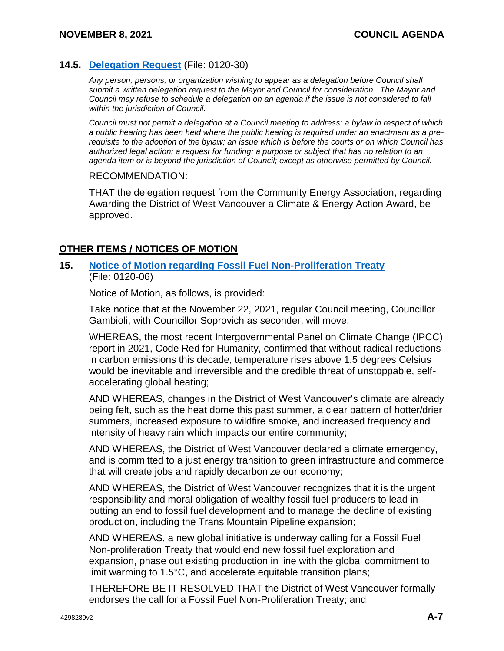# **14.5. [Delegation Request](https://westvancouver.ca/sites/default/files/dwv/council-agendas/2021/nov/08/21nov08-14.5.pdf)** (File: 0120-30)

*Any person, persons, or organization wishing to appear as a delegation before Council shall submit a written delegation request to the Mayor and Council for consideration. The Mayor and Council may refuse to schedule a delegation on an agenda if the issue is not considered to fall within the jurisdiction of Council.*

*Council must not permit a delegation at a Council meeting to address: a bylaw in respect of which a public hearing has been held where the public hearing is required under an enactment as a prerequisite to the adoption of the bylaw; an issue which is before the courts or on which Council has authorized legal action; a request for funding; a purpose or subject that has no relation to an agenda item or is beyond the jurisdiction of Council; except as otherwise permitted by Council.*

#### RECOMMENDATION:

THAT the delegation request from the Community Energy Association, regarding Awarding the District of West Vancouver a Climate & Energy Action Award, be approved.

## **OTHER ITEMS / NOTICES OF MOTION**

## **15. [Notice of Motion regarding Fossil Fuel Non-Proliferation Treaty](https://westvancouver.ca/sites/default/files/dwv/council-agendas/2021/nov/08/21nov08-15.pdf)** (File: 0120-06)

Notice of Motion, as follows, is provided:

Take notice that at the November 22, 2021, regular Council meeting, Councillor Gambioli, with Councillor Soprovich as seconder, will move:

WHEREAS, the most recent Intergovernmental Panel on Climate Change (IPCC) report in 2021, Code Red for Humanity, confirmed that without radical reductions in carbon emissions this decade, temperature rises above 1.5 degrees Celsius would be inevitable and irreversible and the credible threat of unstoppable, selfaccelerating global heating;

AND WHEREAS, changes in the District of West Vancouver's climate are already being felt, such as the heat dome this past summer, a clear pattern of hotter/drier summers, increased exposure to wildfire smoke, and increased frequency and intensity of heavy rain which impacts our entire community;

AND WHEREAS, the District of West Vancouver declared a climate emergency, and is committed to a just energy transition to green infrastructure and commerce that will create jobs and rapidly decarbonize our economy;

AND WHEREAS, the District of West Vancouver recognizes that it is the urgent responsibility and moral obligation of wealthy fossil fuel producers to lead in putting an end to fossil fuel development and to manage the decline of existing production, including the Trans Mountain Pipeline expansion;

AND WHEREAS, a new global initiative is underway calling for a Fossil Fuel Non-proliferation Treaty that would end new fossil fuel exploration and expansion, phase out existing production in line with the global commitment to limit warming to 1.5°C, and accelerate equitable transition plans;

THEREFORE BE IT RESOLVED THAT the District of West Vancouver formally endorses the call for a Fossil Fuel Non-Proliferation Treaty; and